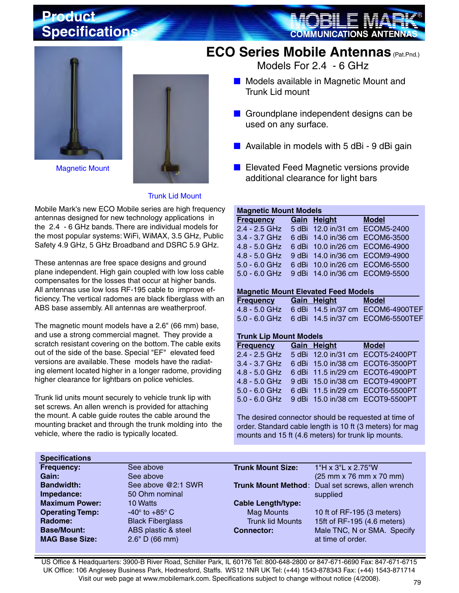### **Product Specifications**

Magnetic Mount



## **ECO Series Mobile Antennas** (Pat.Pnd.)

Models For 2.4 - 6 GHz

- Models available in Magnetic Mount and Trunk Lid mount
- Groundplane independent designs can be used on any surface.
- Available in models with 5 dBi 9 dBi gain
- Elevated Feed Magnetic versions provide additional clearance for light bars

#### Trunk Lid Mount

Mobile Mark's new ECO Mobile series are high frequency antennas designed for new technology applications in the 2.4 - 6 GHz bands. There are individual models for the most popular systems: WiFi, WiMAX, 3.5 GHz, Public Safety 4.9 GHz, 5 GHz Broadband and DSRC 5.9 GHz.

These antennas are free space designs and ground plane independent. High gain coupled with low loss cable compensates for the losses that occur at higher bands. All antennas use low loss RF-195 cable to improve efficiency. The vertical radomes are black fiberglass with an ABS base assembly. All antennas are weatherproof.

The magnetic mount models have a 2.6" (66 mm) base, and use a strong commercial magnet. They provide a scratch resistant covering on the bottom. The cable exits out of the side of the base. Special "EF" elevated feed versions are available. These models have the radiating element located higher in a longer radome, providing higher clearance for lightbars on police vehicles.

Trunk lid units mount securely to vehicle trunk lip with set screws. An allen wrench is provided for attaching the mount. A cable guide routes the cable around the mounting bracket and through the trunk molding into the vehicle, where the radio is typically located.

#### **Magnetic Mount Models**

| <b>Frequency</b>                             | Gain Height | <b>Model</b> |
|----------------------------------------------|-------------|--------------|
| 2.4 - 2.5 GHz 5 dBi 12.0 in/31 cm ECOM5-2400 |             |              |
| 3.4 - 3.7 GHz 6 dBi 14.0 in/36 cm ECOM6-3500 |             |              |
| 4.8 - 5.0 GHz 6 dBi 10.0 in/26 cm ECOM6-4900 |             |              |
| 4.8 - 5.0 GHz 9 dBi 14.0 in/36 cm ECOM9-4900 |             |              |
| 5.0 - 6.0 GHz 6 dBi 10.0 in/26 cm ECOM6-5500 |             |              |
| 5.0 - 6.0 GHz 9 dBi 14.0 in/36 cm ECOM9-5500 |             |              |
|                                              |             |              |

#### **Magnetic Mount Elevated Feed Models**

| <b>Frequency</b> | Gain Height | Model                                           |
|------------------|-------------|-------------------------------------------------|
|                  |             | 4.8 - 5.0 GHz 6 dBi 14.5 in/37 cm ECOM6-4900TEF |
|                  |             | 5.0 - 6.0 GHz 6 dBi 14.5 in/37 cm ECOM6-5500TEF |

#### **Trunk Lip Mount Models**

| <b>Frequency Gain Height Model</b> |  |                                                |
|------------------------------------|--|------------------------------------------------|
|                                    |  | 2.4 - 2.5 GHz 5 dBi 12.0 in/31 cm ECOT5-2400PT |
|                                    |  | 3.4 - 3.7 GHz 6 dBi 15.0 in/38 cm ECOT6-3500PT |
|                                    |  | 4.8 - 5.0 GHz 6 dBi 11.5 in/29 cm ECOT6-4900PT |
|                                    |  | 4.8 - 5.0 GHz 9 dBi 15.0 in/38 cm ECOT9-4900PT |
|                                    |  | 5.0 - 6.0 GHz 6 dBi 11.5 in/29 cm ECOT6-5500PT |
|                                    |  | 5.0 - 6.0 GHz 9 dBi 15.0 in/38 cm ECOT9-5500PT |

The desired connector should be requested at time of order. Standard cable length is 10 ft (3 meters) for mag mounts and 15 ft (4.6 meters) for trunk lip mounts.

| <b>Specifications</b>  |                              |                           |                                                   |
|------------------------|------------------------------|---------------------------|---------------------------------------------------|
| Frequency:             | See above                    | <b>Trunk Mount Size:</b>  | 1"H x 3"L x 2.75"W                                |
| Gain:                  | See above                    |                           | (25 mm x 76 mm x 70 mm)                           |
| <b>Bandwidth:</b>      | See above @2:1 SWR           |                           | Trunk Mount Method: Dual set screws, allen wrench |
| Impedance:             | 50 Ohm nominal               |                           | supplied                                          |
| <b>Maximum Power:</b>  | 10 Watts                     | <b>Cable Length/type:</b> |                                                   |
| <b>Operating Temp:</b> | $-40^\circ$ to $+85^\circ$ C | <b>Mag Mounts</b>         | 10 ft of RF-195 (3 meters)                        |
| Radome:                | <b>Black Fiberglass</b>      | <b>Trunk lid Mounts</b>   | 15ft of RF-195 (4.6 meters)                       |
| <b>Base/Mount:</b>     | ABS plastic & steel          | <b>Connector:</b>         | Male TNC, N or SMA. Specify                       |
| <b>MAG Base Size:</b>  | 2.6" D (66 mm)               |                           | at time of order.                                 |

US Office & Headquarters: 3900-B River Road, Schiller Park, IL 60176 Tel: 800-648-2800 or 847-671-6690 Fax: 847-671-6715 UK Office: 106 Anglesey Business Park, Hednesford, Staffs. WS12 1NR UK Tel: (+44) 1543-878343 Fax: (+44) 1543-871714 Visit our web page at www.mobilemark.com. Specifications subject to change without notice (4/2008).